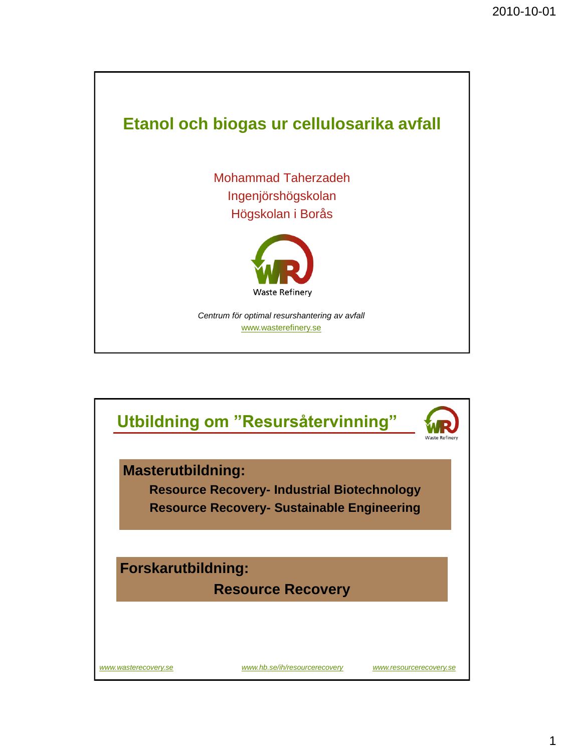

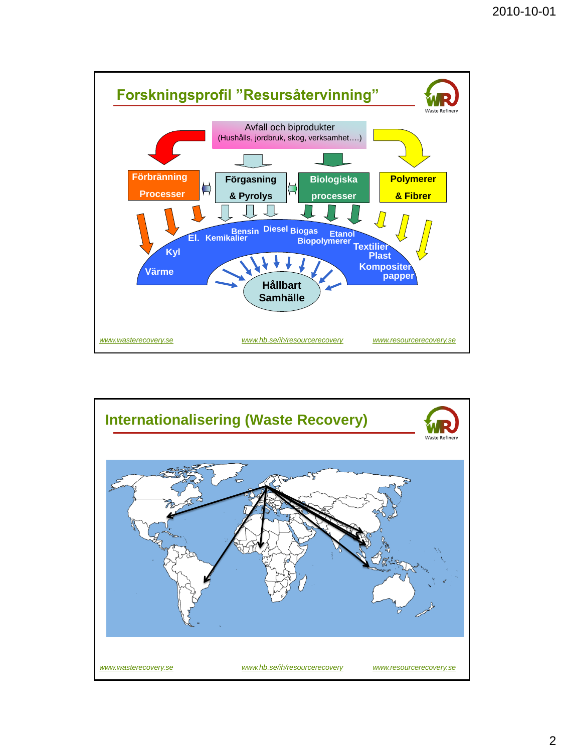

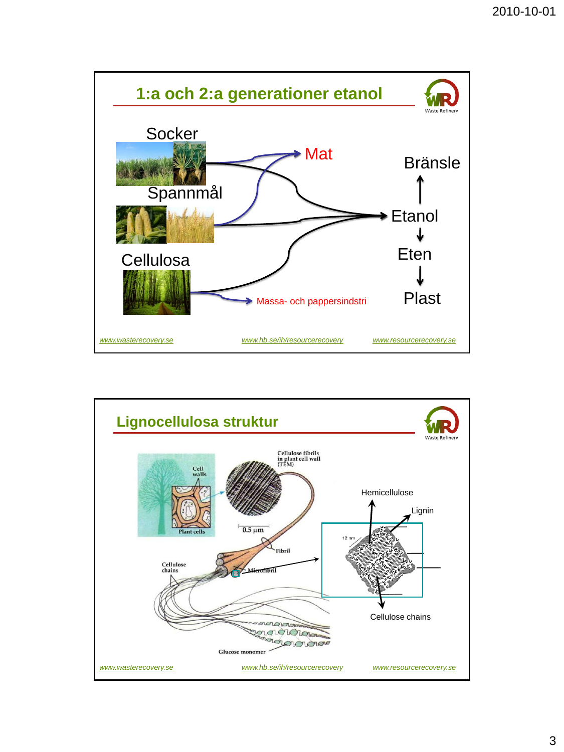

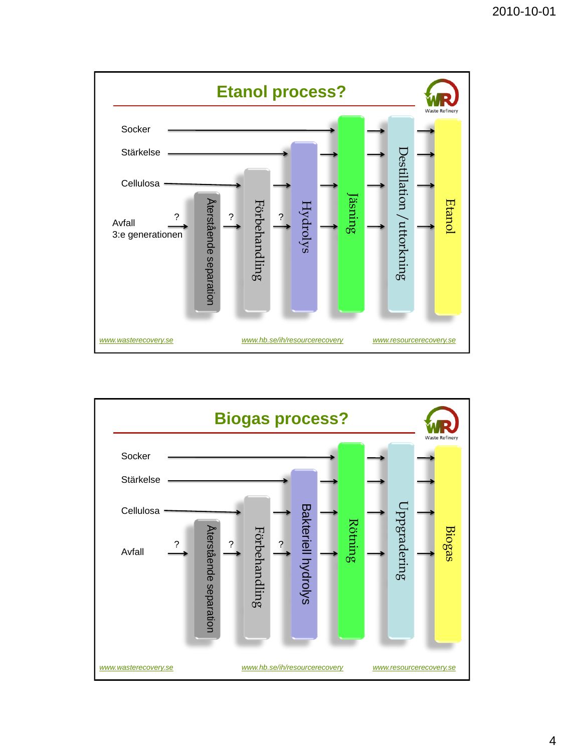



4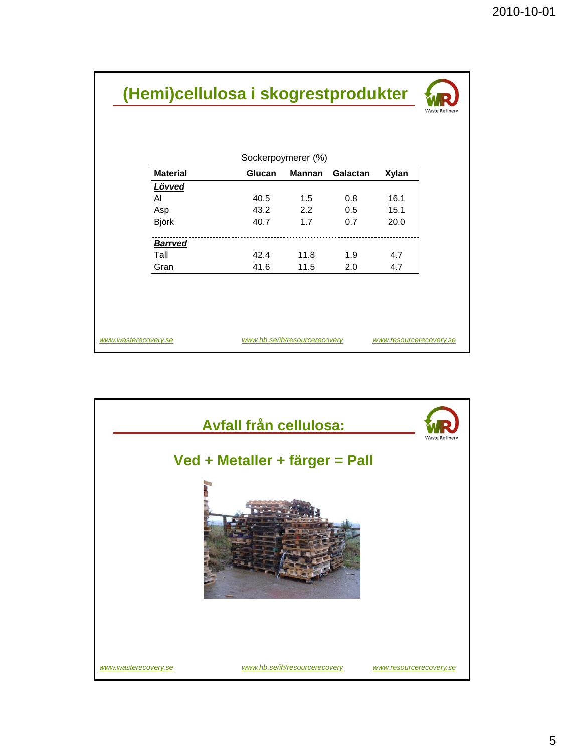| Sockerpoymerer (%) |        |        |                 |       |  |
|--------------------|--------|--------|-----------------|-------|--|
| <b>Material</b>    | Glucan | Mannan | <b>Galactan</b> | Xylan |  |
| Lövved             |        |        |                 |       |  |
| AI                 | 40.5   | 1.5    | 0.8             | 16.1  |  |
| Asp                | 43.2   | 2.2    | 0.5             | 15.1  |  |
| Björk              | 40.7   | 1.7    | 0.7             | 20.0  |  |
| <b>Barrved</b>     |        |        |                 |       |  |
| Tall               | 42.4   | 11.8   | 1.9             | 4.7   |  |
| Gran               | 41.6   | 11.5   | 2.0             | 4.7   |  |

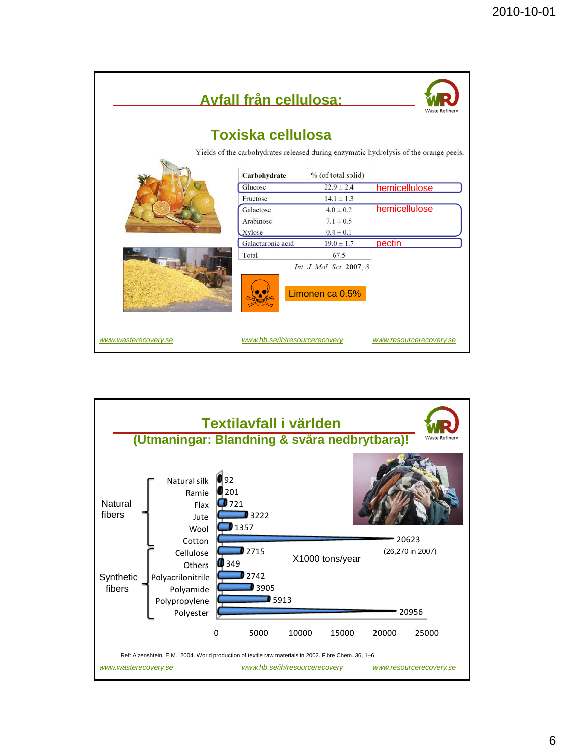| <b>Avfall från cellulosa:</b><br><b>Waste Refinery</b><br><b>Toxiska cellulosa</b> |                               |                           |                         |  |  |  |  |
|------------------------------------------------------------------------------------|-------------------------------|---------------------------|-------------------------|--|--|--|--|
|                                                                                    |                               |                           |                         |  |  |  |  |
|                                                                                    |                               |                           |                         |  |  |  |  |
|                                                                                    | Carbohydrate                  | % (of total solid)        |                         |  |  |  |  |
|                                                                                    | Glucose                       | $22.9 \pm 2.4$            | hemicellulose           |  |  |  |  |
|                                                                                    | Fructose                      | $14.1 \pm 1.3$            |                         |  |  |  |  |
|                                                                                    | Galactose                     | $4.0 \pm 0.2$             | hemicellulose           |  |  |  |  |
|                                                                                    | Arabinose                     | $7.1 \pm 0.5$             |                         |  |  |  |  |
|                                                                                    | Xylose                        | $0.4 \pm 0.1$             |                         |  |  |  |  |
|                                                                                    | Galacturonic acid             | $19.0 \pm 1.7$            | pectin                  |  |  |  |  |
|                                                                                    | Total                         | 67.5                      |                         |  |  |  |  |
|                                                                                    |                               | Int. J. Mol. Sci. 2007, 8 |                         |  |  |  |  |
|                                                                                    |                               | Limonen ca 0.5%           |                         |  |  |  |  |
| www.wasterecovery.se                                                               | www.hb.se/ih/resourcerecovery |                           | www.resourcerecovery.se |  |  |  |  |

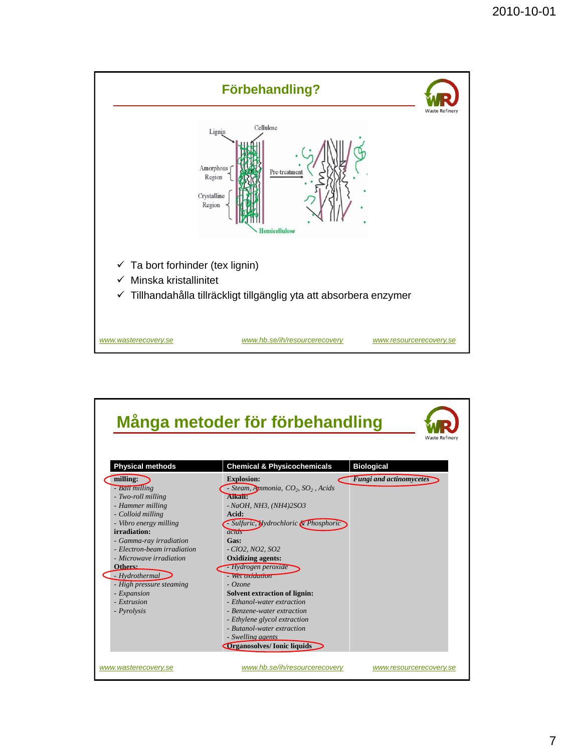

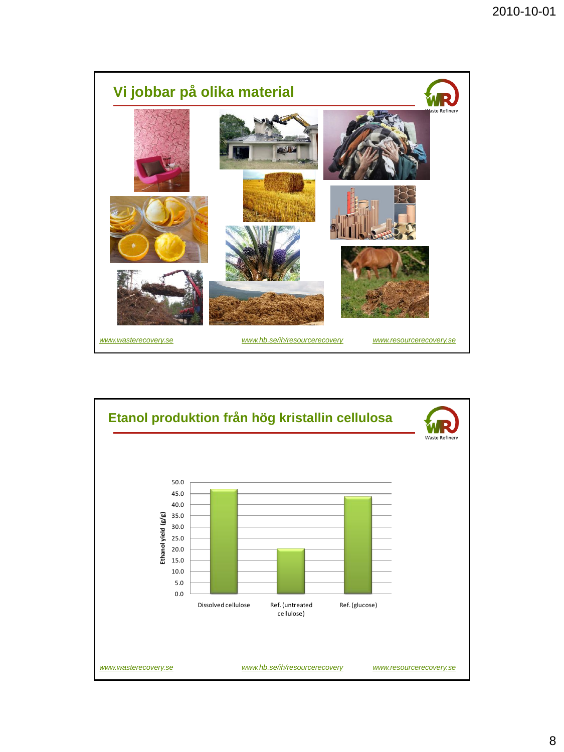

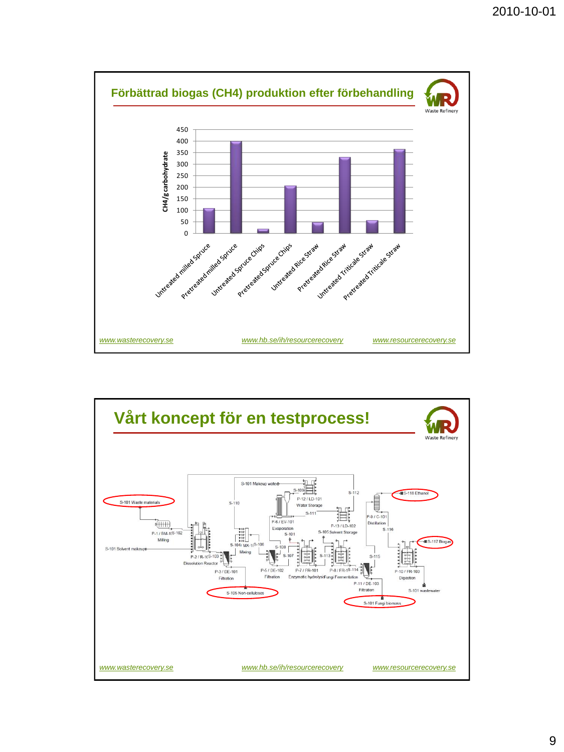